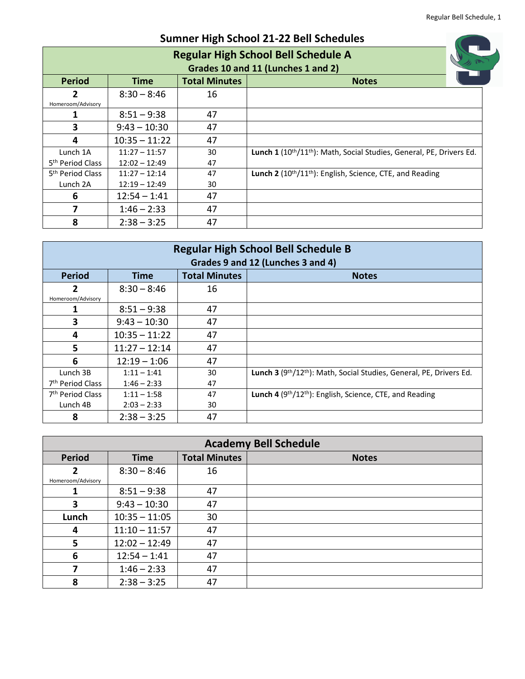| <b>Sumner High School 21-22 Bell Schedules</b> |                                            |                      |                                                                                               |  |  |  |
|------------------------------------------------|--------------------------------------------|----------------------|-----------------------------------------------------------------------------------------------|--|--|--|
|                                                | <b>Regular High School Bell Schedule A</b> |                      |                                                                                               |  |  |  |
|                                                | Grades 10 and 11 (Lunches 1 and 2)         |                      |                                                                                               |  |  |  |
| <b>Period</b>                                  | <b>Time</b>                                | <b>Total Minutes</b> | <b>Notes</b>                                                                                  |  |  |  |
| 2                                              | $8:30 - 8:46$                              | 16                   |                                                                                               |  |  |  |
| Homeroom/Advisory                              |                                            |                      |                                                                                               |  |  |  |
|                                                | $8:51 - 9:38$                              | 47                   |                                                                                               |  |  |  |
| 3                                              | $9:43 - 10:30$                             | 47                   |                                                                                               |  |  |  |
| 4                                              | $10:35 - 11:22$                            | 47                   |                                                                                               |  |  |  |
| Lunch 1A                                       | $11:27 - 11:57$                            | 30                   | Lunch 1 (10 <sup>th</sup> /11 <sup>th</sup> ): Math, Social Studies, General, PE, Drivers Ed. |  |  |  |
| 5 <sup>th</sup> Period Class                   | $12:02 - 12:49$                            | 47                   |                                                                                               |  |  |  |
| 5 <sup>th</sup> Period Class                   | $11:27 - 12:14$                            | 47                   | <b>Lunch 2</b> ( $10^{th}/11^{th}$ ): English, Science, CTE, and Reading                      |  |  |  |
| Lunch 2A                                       | $12:19 - 12:49$                            | 30                   |                                                                                               |  |  |  |
| 6                                              | $12:54 - 1:41$                             | 47                   |                                                                                               |  |  |  |
|                                                | $1:46 - 2:33$                              | 47                   |                                                                                               |  |  |  |
| 8                                              | $2:38 - 3:25$                              | 47                   |                                                                                               |  |  |  |

| <b>Regular High School Bell Schedule B</b><br>Grades 9 and 12 (Lunches 3 and 4) |                 |                      |                                                                    |  |
|---------------------------------------------------------------------------------|-----------------|----------------------|--------------------------------------------------------------------|--|
| <b>Period</b>                                                                   | <b>Time</b>     | <b>Total Minutes</b> | <b>Notes</b>                                                       |  |
| 2<br>Homeroom/Advisory                                                          | $8:30 - 8:46$   | 16                   |                                                                    |  |
|                                                                                 | $8:51 - 9:38$   | 47                   |                                                                    |  |
| 3                                                                               | $9:43 - 10:30$  | 47                   |                                                                    |  |
| 4                                                                               | $10:35 - 11:22$ | 47                   |                                                                    |  |
| 5                                                                               | $11:27 - 12:14$ | 47                   |                                                                    |  |
| 6                                                                               | $12:19 - 1:06$  | 47                   |                                                                    |  |
| Lunch 3B                                                                        | $1:11 - 1:41$   | 30                   | Lunch 3 (9th/12th): Math, Social Studies, General, PE, Drivers Ed. |  |
| 7 <sup>th</sup> Period Class                                                    | $1:46 - 2:33$   | 47                   |                                                                    |  |
| 7 <sup>th</sup> Period Class                                                    | $1:11 - 1:58$   | 47                   | <b>Lunch 4</b> ( $9th/12th$ ): English, Science, CTE, and Reading  |  |
| Lunch 4B                                                                        | $2:03 - 2:33$   | 30                   |                                                                    |  |
| 8                                                                               | $2:38 - 3:25$   | 47                   |                                                                    |  |

| <b>Academy Bell Schedule</b> |                 |                      |              |  |
|------------------------------|-----------------|----------------------|--------------|--|
| <b>Period</b>                | <b>Time</b>     | <b>Total Minutes</b> | <b>Notes</b> |  |
| $\overline{2}$               | $8:30 - 8:46$   | 16                   |              |  |
| Homeroom/Advisory            |                 |                      |              |  |
|                              | $8:51 - 9:38$   | 47                   |              |  |
| 3                            | $9:43 - 10:30$  | 47                   |              |  |
| Lunch                        | $10:35 - 11:05$ | 30                   |              |  |
| 4                            | $11:10 - 11:57$ | 47                   |              |  |
| 5                            | $12:02 - 12:49$ | 47                   |              |  |
| 6                            | $12:54 - 1:41$  | 47                   |              |  |
| 7                            | $1:46 - 2:33$   | 47                   |              |  |
| 8                            | $2:38 - 3:25$   | 47                   |              |  |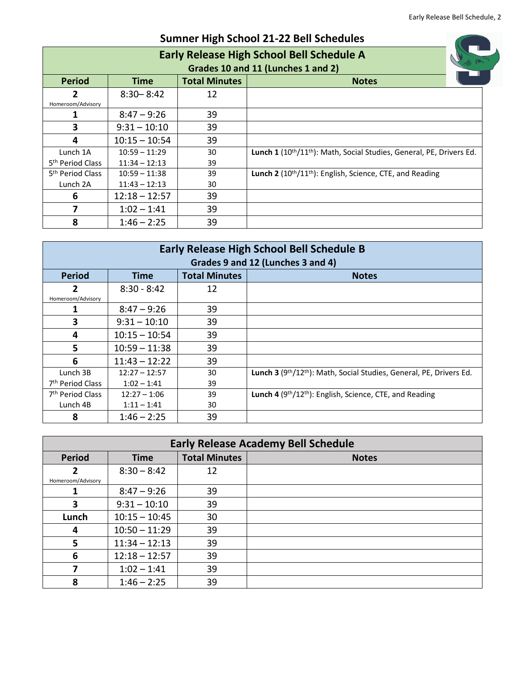1

| <b>Sumner High School 21-22 Bell Schedules</b> |                                                  |                      |                                                                                               |  |  |  |
|------------------------------------------------|--------------------------------------------------|----------------------|-----------------------------------------------------------------------------------------------|--|--|--|
|                                                | <b>Early Release High School Bell Schedule A</b> |                      |                                                                                               |  |  |  |
|                                                |                                                  |                      | Grades 10 and 11 (Lunches 1 and 2)                                                            |  |  |  |
| <b>Period</b>                                  | Time                                             | <b>Total Minutes</b> | <b>Notes</b>                                                                                  |  |  |  |
| 2                                              | $8:30 - 8:42$                                    | 12                   |                                                                                               |  |  |  |
| Homeroom/Advisory                              |                                                  |                      |                                                                                               |  |  |  |
|                                                | $8:47 - 9:26$                                    | 39                   |                                                                                               |  |  |  |
| 3                                              | $9:31 - 10:10$                                   | 39                   |                                                                                               |  |  |  |
| 4                                              | $10:15 - 10:54$                                  | 39                   |                                                                                               |  |  |  |
| Lunch 1A                                       | $10:59 - 11:29$                                  | 30                   | Lunch 1 (10 <sup>th</sup> /11 <sup>th</sup> ): Math, Social Studies, General, PE, Drivers Ed. |  |  |  |
| 5 <sup>th</sup> Period Class                   | $11:34 - 12:13$                                  | 39                   |                                                                                               |  |  |  |
| 5 <sup>th</sup> Period Class                   | $10:59 - 11:38$                                  | 39                   | Lunch 2 (10 <sup>th</sup> /11 <sup>th</sup> ): English, Science, CTE, and Reading             |  |  |  |
| Lunch 2A                                       | $11:43 - 12:13$                                  | 30                   |                                                                                               |  |  |  |
| 6                                              | $12:18 - 12:57$                                  | 39                   |                                                                                               |  |  |  |
|                                                | $1:02 - 1:41$                                    | 39                   |                                                                                               |  |  |  |
| 8                                              | $1:46 - 2:25$                                    | 39                   |                                                                                               |  |  |  |

| <b>Early Release High School Bell Schedule B</b><br>Grades 9 and 12 (Lunches 3 and 4) |                 |                      |                                                                    |  |
|---------------------------------------------------------------------------------------|-----------------|----------------------|--------------------------------------------------------------------|--|
| <b>Period</b>                                                                         | <b>Time</b>     | <b>Total Minutes</b> | <b>Notes</b>                                                       |  |
| 2<br>Homeroom/Advisory                                                                | $8:30 - 8:42$   | 12                   |                                                                    |  |
|                                                                                       | $8:47 - 9:26$   | 39                   |                                                                    |  |
| 3                                                                                     | $9:31 - 10:10$  | 39                   |                                                                    |  |
| 4                                                                                     | $10:15 - 10:54$ | 39                   |                                                                    |  |
| 5                                                                                     | $10:59 - 11:38$ | 39                   |                                                                    |  |
| 6                                                                                     | $11:43 - 12:22$ | 39                   |                                                                    |  |
| Lunch 3B                                                                              | $12:27 - 12:57$ | 30                   | Lunch 3 (9th/12th): Math, Social Studies, General, PE, Drivers Ed. |  |
| 7 <sup>th</sup> Period Class                                                          | $1:02 - 1:41$   | 39                   |                                                                    |  |
| 7 <sup>th</sup> Period Class                                                          | $12:27 - 1:06$  | 39                   | Lunch 4 (9th/12th): English, Science, CTE, and Reading             |  |
| Lunch 4B                                                                              | $1:11 - 1:41$   | 30                   |                                                                    |  |
| 8                                                                                     | $1:46 - 2:25$   | 39                   |                                                                    |  |

| <b>Early Release Academy Bell Schedule</b> |                 |                      |              |  |
|--------------------------------------------|-----------------|----------------------|--------------|--|
| <b>Period</b>                              | <b>Time</b>     | <b>Total Minutes</b> | <b>Notes</b> |  |
| $\mathbf{2}$                               | $8:30 - 8:42$   | 12                   |              |  |
| Homeroom/Advisory                          |                 |                      |              |  |
|                                            | $8:47 - 9:26$   | 39                   |              |  |
| 3                                          | $9:31 - 10:10$  | 39                   |              |  |
| Lunch                                      | $10:15 - 10:45$ | 30                   |              |  |
| 4                                          | $10:50 - 11:29$ | 39                   |              |  |
| 5                                          | $11:34 - 12:13$ | 39                   |              |  |
| 6                                          | $12:18 - 12:57$ | 39                   |              |  |
|                                            | $1:02 - 1:41$   | 39                   |              |  |
| 8                                          | $1:46 - 2:25$   | 39                   |              |  |